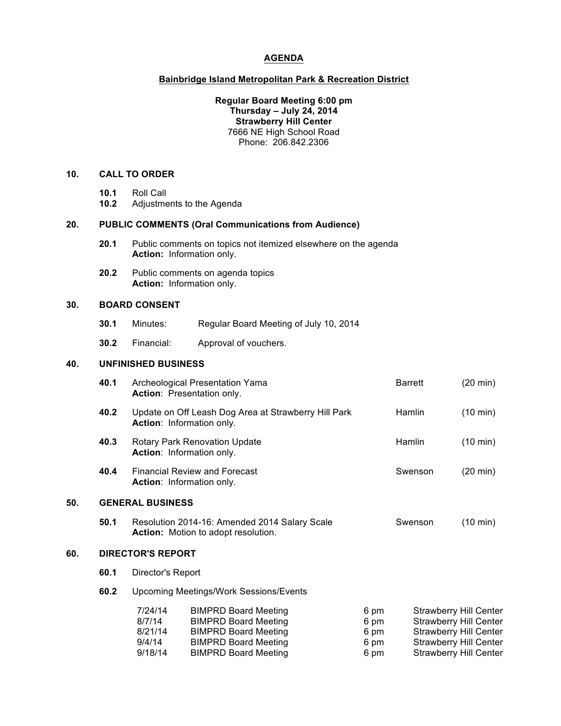### **AGENDA**

### **Bainbridge Island Metropolitan Park & Recreation District**

### **Regular Board Meeting 6:00 pm Thursday – July 24, 2014 Strawberry Hill Center** 7666 NE High School Road Phone: 206.842.2306

## **10. CALL TO ORDER**

- **10.1** Roll Call
- **10.2** Adjustments to the Agenda

### **20. PUBLIC COMMENTS (Oral Communications from Audience)**

- **20.1** Public comments on topics not itemized elsewhere on the agenda **Action:** Information only.
- **20.2** Public comments on agenda topics **Action:** Information only.

# **30. BOARD CONSENT**

- **30.1** Minutes: Regular Board Meeting of July 10, 2014
- **30.2** Financial: Approval of vouchers.

## **40. UNFINISHED BUSINESS**

|     | 40.1                     | Archeological Presentation Yama<br>Action: Presentation only.                                                                                 |                                                                                                                                                         |  |                                      | <b>Barrett</b>                                                                                                                                                    | $(20 \text{ min})$ |
|-----|--------------------------|-----------------------------------------------------------------------------------------------------------------------------------------------|---------------------------------------------------------------------------------------------------------------------------------------------------------|--|--------------------------------------|-------------------------------------------------------------------------------------------------------------------------------------------------------------------|--------------------|
|     | 40.2                     | Update on Off Leash Dog Area at Strawberry Hill Park<br><b>Action:</b> Information only.                                                      |                                                                                                                                                         |  |                                      | Hamlin                                                                                                                                                            | $(10 \text{ min})$ |
|     | 40.3                     | <b>Rotary Park Renovation Update</b><br><b>Action:</b> Information only.<br><b>Financial Review and Forecast</b><br>Action: Information only. |                                                                                                                                                         |  |                                      | Hamlin                                                                                                                                                            | $(10 \text{ min})$ |
|     | 40.4                     |                                                                                                                                               |                                                                                                                                                         |  |                                      | Swenson                                                                                                                                                           | $(20 \text{ min})$ |
| 50. | <b>GENERAL BUSINESS</b>  |                                                                                                                                               |                                                                                                                                                         |  |                                      |                                                                                                                                                                   |                    |
|     | 50.1                     | Resolution 2014-16: Amended 2014 Salary Scale<br><b>Action:</b> Motion to adopt resolution.                                                   |                                                                                                                                                         |  |                                      | Swenson                                                                                                                                                           | $(10 \text{ min})$ |
| 60. | <b>DIRECTOR'S REPORT</b> |                                                                                                                                               |                                                                                                                                                         |  |                                      |                                                                                                                                                                   |                    |
|     | 60.1                     | Director's Report                                                                                                                             |                                                                                                                                                         |  |                                      |                                                                                                                                                                   |                    |
|     | 60.2                     | <b>Upcoming Meetings/Work Sessions/Events</b>                                                                                                 |                                                                                                                                                         |  |                                      |                                                                                                                                                                   |                    |
|     |                          | 7/24/14<br>8/7/14<br>8/21/14<br>9/4/14<br>9/18/14                                                                                             | <b>BIMPRD Board Meeting</b><br><b>BIMPRD Board Meeting</b><br><b>BIMPRD Board Meeting</b><br><b>BIMPRD Board Meeting</b><br><b>BIMPRD Board Meeting</b> |  | 6 pm<br>6 pm<br>6 pm<br>6 pm<br>6 pm | <b>Strawberry Hill Center</b><br><b>Strawberry Hill Center</b><br><b>Strawberry Hill Center</b><br><b>Strawberry Hill Center</b><br><b>Strawberry Hill Center</b> |                    |
|     |                          |                                                                                                                                               |                                                                                                                                                         |  |                                      |                                                                                                                                                                   |                    |